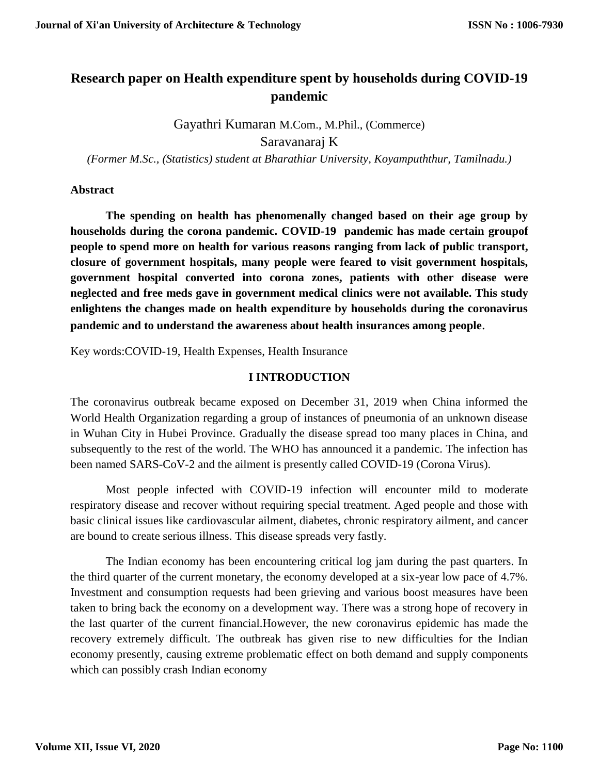## **Research paper on Health expenditure spent by households during COVID-19 pandemic**

Gayathri Kumaran M.Com., M.Phil., (Commerce)

Saravanaraj K

*(Former M.Sc., (Statistics) student at Bharathiar University, Koyampuththur, Tamilnadu.)*

### **Abstract**

**The spending on health has phenomenally changed based on their age group by households during the corona pandemic. COVID-19 pandemic has made certain groupof people to spend more on health for various reasons ranging from lack of public transport, closure of government hospitals, many people were feared to visit government hospitals, government hospital converted into corona zones, patients with other disease were neglected and free meds gave in government medical clinics were not available. This study enlightens the changes made on health expenditure by households during the coronavirus pandemic and to understand the awareness about health insurances among people**.

Key words:COVID-19, Health Expenses, Health Insurance

### **I INTRODUCTION**

The coronavirus outbreak became exposed on December 31, 2019 when China informed the World Health Organization regarding a group of instances of pneumonia of an unknown disease in Wuhan City in Hubei Province. Gradually the disease spread too many places in China, and subsequently to the rest of the world. The WHO has announced it a pandemic. The infection has been named SARS-CoV-2 and the ailment is presently called COVID-19 (Corona Virus).

Most people infected with COVID-19 infection will encounter mild to moderate respiratory disease and recover without requiring special treatment. Aged people and those with basic clinical issues like cardiovascular ailment, diabetes, chronic respiratory ailment, and cancer are bound to create serious illness. This disease spreads very fastly.

The Indian economy has been encountering critical log jam during the past quarters. In the third quarter of the current monetary, the economy developed at a six-year low pace of 4.7%. Investment and consumption requests had been grieving and various boost measures have been taken to bring back the economy on a development way. There was a strong hope of recovery in the last quarter of the current financial.However, the new coronavirus epidemic has made the recovery extremely difficult. The outbreak has given rise to new difficulties for the Indian economy presently, causing extreme problematic effect on both demand and supply components which can possibly crash Indian economy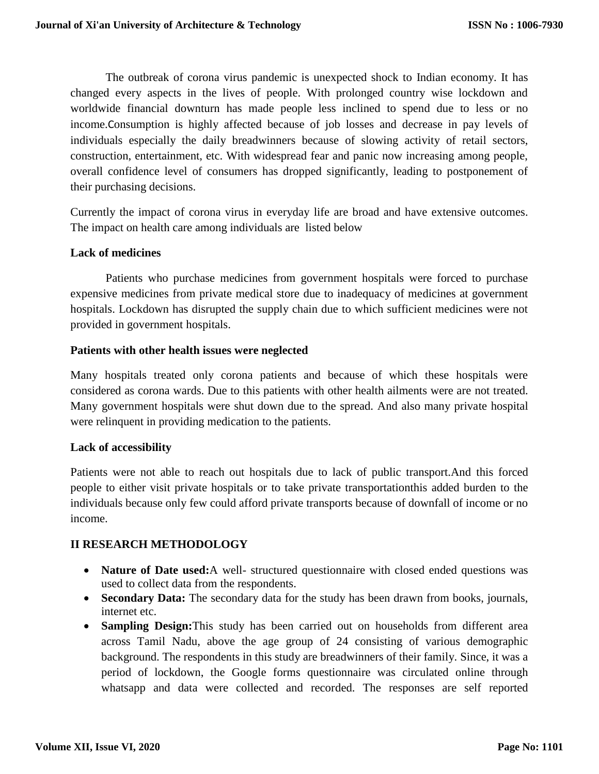The outbreak of corona virus pandemic is unexpected shock to Indian economy. It has changed every aspects in the lives of people. With prolonged country wise lockdown and worldwide financial downturn has made people less inclined to spend due to less or no income.Consumption is highly affected because of job losses and decrease in pay levels of individuals especially the daily breadwinners because of slowing activity of retail sectors, construction, entertainment, etc. With widespread fear and panic now increasing among people, overall confidence level of consumers has dropped significantly, leading to postponement of their purchasing decisions.

Currently the impact of corona virus in everyday life are broad and have extensive outcomes. The impact on health care among individuals are listed below

### **Lack of medicines**

Patients who purchase medicines from government hospitals were forced to purchase expensive medicines from private medical store due to inadequacy of medicines at government hospitals. Lockdown has disrupted the supply chain due to which sufficient medicines were not provided in government hospitals.

### **Patients with other health issues were neglected**

Many hospitals treated only corona patients and because of which these hospitals were considered as corona wards. Due to this patients with other health ailments were are not treated. Many government hospitals were shut down due to the spread. And also many private hospital were relinquent in providing medication to the patients.

### **Lack of accessibility**

Patients were not able to reach out hospitals due to lack of public transport.And this forced people to either visit private hospitals or to take private transportationthis added burden to the individuals because only few could afford private transports because of downfall of income or no income.

### **II RESEARCH METHODOLOGY**

- **Nature of Date used:**A well- structured questionnaire with closed ended questions was used to collect data from the respondents.
- **Secondary Data:** The secondary data for the study has been drawn from books, journals, internet etc.
- **Sampling Design:**This study has been carried out on households from different area across Tamil Nadu, above the age group of 24 consisting of various demographic background. The respondents in this study are breadwinners of their family. Since, it was a period of lockdown, the Google forms questionnaire was circulated online through whatsapp and data were collected and recorded. The responses are self reported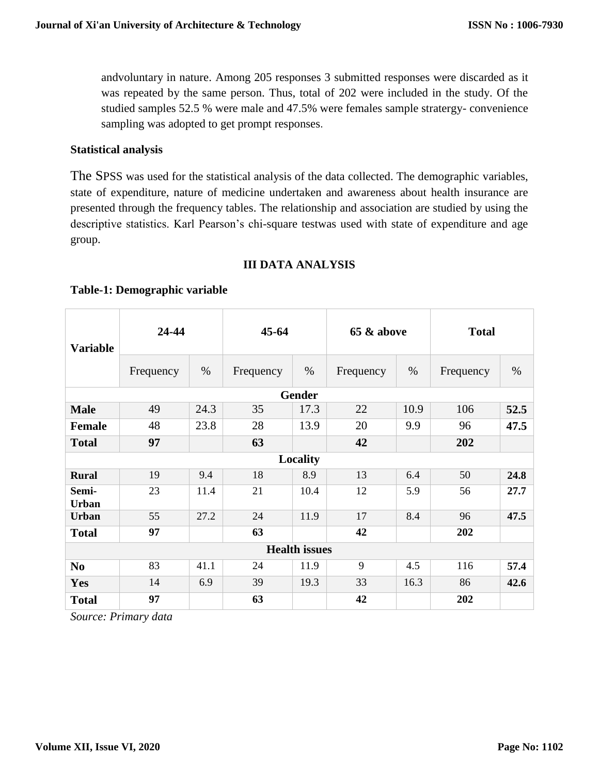andvoluntary in nature. Among 205 responses 3 submitted responses were discarded as it was repeated by the same person. Thus, total of 202 were included in the study. Of the studied samples 52.5 % were male and 47.5% were females sample stratergy- convenience sampling was adopted to get prompt responses.

### **Statistical analysis**

The SPSS was used for the statistical analysis of the data collected. The demographic variables, state of expenditure, nature of medicine undertaken and awareness about health insurance are presented through the frequency tables. The relationship and association are studied by using the descriptive statistics. Karl Pearson's chi-square testwas used with state of expenditure and age group.

### **III DATA ANALYSIS**

# **Variable 24-44 45-64 65 & above Total** Frequency  $\frac{1}{2}$  % Frequency  $\frac{1}{2}$  % Frequency  $\frac{1}{2}$  % Frequency  $\frac{1}{2}$  % **Gender Male**  $\begin{array}{|c|c|c|c|c|c|} \hline \textbf{49} & 24.3 & 35 & 17.3 & 22 & 10.9 & 106 & 52.5 \ \hline \end{array}$ **Female** | 48 | 23.8 | 28 | 13.9 | 20 | 9.9 | 96 | **47.5 Total 97 63 42 202 Locality Rural** 19 9.4 18 8.9 13 6.4 50 **24.8 Semi-Urban** 23 11.4 21 10.4 12 5.9 56 **27.7 Urban** 55 27.2 24 11.9 17 8.4 96 47.5 **Total 97 63 42 202 Health issues No**  $\begin{array}{|c|c|c|c|c|c|} \hline 83 & 41.1 & 24 & 11.9 & 9 & 4.5 & 116 & 57.4 \ \hline \end{array}$ **Yes** 14 6.9 39 19.3 33 16.3 86 **42.6 Total 97 63 42 202**

### **Table-1: Demographic variable**

*Source: Primary data*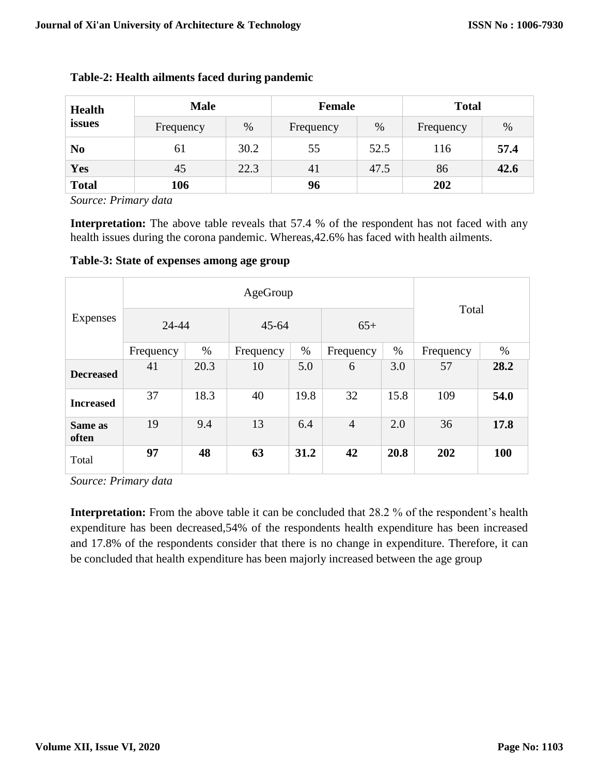| <b>Health</b>  | <b>Male</b>                    |      | Female    |      | <b>Total</b> |      |  |
|----------------|--------------------------------|------|-----------|------|--------------|------|--|
| issues         | $\%$<br>Frequency<br>Frequency | %    | Frequency | $\%$ |              |      |  |
| N <sub>0</sub> | 61                             | 30.2 | 55        | 52.5 | 116          | 57.4 |  |
| Yes            | 45                             | 22.3 | 41        | 47.5 | 86           | 42.6 |  |
| <b>Total</b>   | 106                            |      | 96        |      | 202          |      |  |

### **Table-2: Health ailments faced during pandemic**

*Source: Primary data*

**Interpretation:** The above table reveals that 57.4 % of the respondent has not faced with any health issues during the corona pandemic. Whereas,42.6% has faced with health ailments.

**Table-3: State of expenses among age group**

| Expenses         |           |      |           |      |                |      |           |            |
|------------------|-----------|------|-----------|------|----------------|------|-----------|------------|
|                  | 24-44     |      | $45 - 64$ |      | $65+$          |      | Total     |            |
|                  | Frequency | $\%$ | Frequency | %    | Frequency      | %    | Frequency | $\%$       |
| <b>Decreased</b> | 41        | 20.3 | 10        | 5.0  | 6              | 3.0  | 57        | 28.2       |
| <b>Increased</b> | 37        | 18.3 | 40        | 19.8 | 32             | 15.8 | 109       | 54.0       |
| Same as<br>often | 19        | 9.4  | 13        | 6.4  | $\overline{4}$ | 2.0  | 36        | 17.8       |
| Total            | 97        | 48   | 63        | 31.2 | 42             | 20.8 | 202       | <b>100</b> |

*Source: Primary data*

**Interpretation:** From the above table it can be concluded that 28.2 % of the respondent's health expenditure has been decreased,54% of the respondents health expenditure has been increased and 17.8% of the respondents consider that there is no change in expenditure. Therefore, it can be concluded that health expenditure has been majorly increased between the age group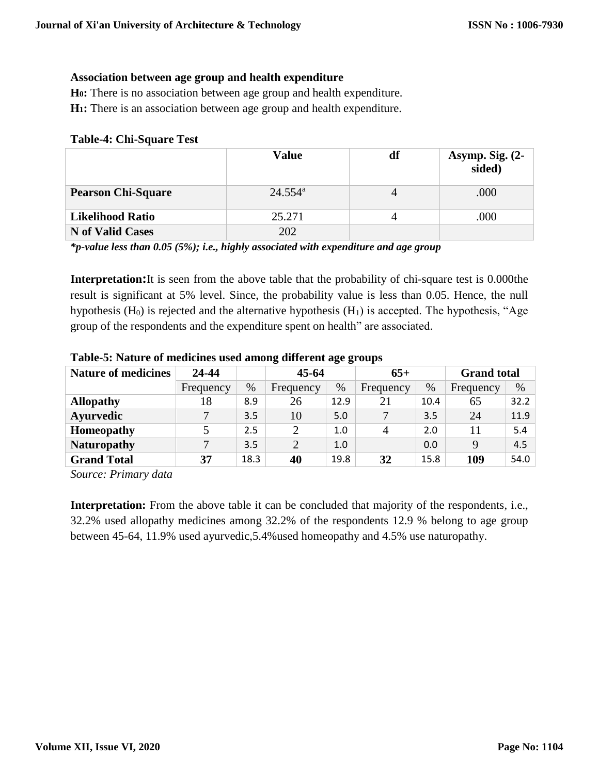### **Association between age group and health expenditure**

**H0:** There is no association between age group and health expenditure.

**H1:** There is an association between age group and health expenditure.

#### **Table-4: Chi-Square Test**

|                           | <b>Value</b>     | df | Asymp. Sig. $(2-$<br>sided) |
|---------------------------|------------------|----|-----------------------------|
| <b>Pearson Chi-Square</b> | $24.554^{\rm a}$ |    | .000                        |
| <b>Likelihood Ratio</b>   | 25.271           |    | .000                        |
| <b>N</b> of Valid Cases   | 202              |    |                             |

*\*p-value less than 0.05 (5%); i.e., highly associated with expenditure and age group*

**Interpretation:**It is seen from the above table that the probability of chi-square test is 0.000the result is significant at 5% level. Since, the probability value is less than 0.05. Hence, the null hypothesis  $(H_0)$  is rejected and the alternative hypothesis  $(H_1)$  is accepted. The hypothesis, "Age group of the respondents and the expenditure spent on health" are associated.

| <b>Nature of medicines</b> | 24-44     |      | $45 - 64$      |      | $65+$          |      | <b>Grand</b> total |      |
|----------------------------|-----------|------|----------------|------|----------------|------|--------------------|------|
|                            | Frequency | $\%$ | Frequency      | $\%$ | Frequency      | $\%$ | Frequency          | $\%$ |
| <b>Allopathy</b>           | 18        | 8.9  | 26             | 12.9 | 21             | 10.4 | 65                 | 32.2 |
| <b>Ayurvedic</b>           |           | 3.5  | 10             | 5.0  |                | 3.5  | 24                 | 11.9 |
| Homeopathy                 |           | 2.5  | $\overline{2}$ | 1.0  | $\overline{A}$ | 2.0  | 11                 | 5.4  |
| <b>Naturopathy</b>         | ⇁         | 3.5  | $\overline{2}$ | 1.0  |                | 0.0  | 9                  | 4.5  |
| <b>Grand Total</b>         | 37        | 18.3 | 40             | 19.8 | 32             | 15.8 | 109                | 54.0 |
|                            |           |      |                |      |                |      |                    |      |

**Table-5: Nature of medicines used among different age groups**

*Source: Primary data*

**Interpretation:** From the above table it can be concluded that majority of the respondents, i.e., 32.2% used allopathy medicines among 32.2% of the respondents 12.9 % belong to age group between 45-64, 11.9% used ayurvedic,5.4%used homeopathy and 4.5% use naturopathy.